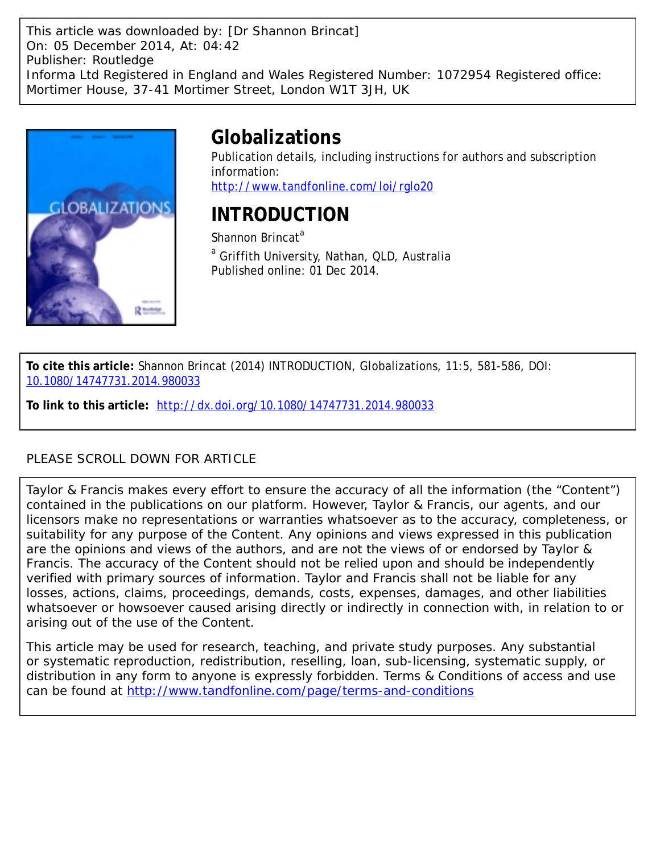This article was downloaded by: [Dr Shannon Brincat] On: 05 December 2014, At: 04:42 Publisher: Routledge Informa Ltd Registered in England and Wales Registered Number: 1072954 Registered office: Mortimer House, 37-41 Mortimer Street, London W1T 3JH, UK



# **Globalizations**

Publication details, including instructions for authors and subscription information: <http://www.tandfonline.com/loi/rglo20>

# **INTRODUCTION**

Shannon Brincat<sup>a</sup>

<sup>a</sup> Griffith University, Nathan, QLD, Australia Published online: 01 Dec 2014.

**To cite this article:** Shannon Brincat (2014) INTRODUCTION, Globalizations, 11:5, 581-586, DOI: [10.1080/14747731.2014.980033](http://www.tandfonline.com/action/showCitFormats?doi=10.1080/14747731.2014.980033)

**To link to this article:** <http://dx.doi.org/10.1080/14747731.2014.980033>

### PLEASE SCROLL DOWN FOR ARTICLE

Taylor & Francis makes every effort to ensure the accuracy of all the information (the "Content") contained in the publications on our platform. However, Taylor & Francis, our agents, and our licensors make no representations or warranties whatsoever as to the accuracy, completeness, or suitability for any purpose of the Content. Any opinions and views expressed in this publication are the opinions and views of the authors, and are not the views of or endorsed by Taylor & Francis. The accuracy of the Content should not be relied upon and should be independently verified with primary sources of information. Taylor and Francis shall not be liable for any losses, actions, claims, proceedings, demands, costs, expenses, damages, and other liabilities whatsoever or howsoever caused arising directly or indirectly in connection with, in relation to or arising out of the use of the Content.

This article may be used for research, teaching, and private study purposes. Any substantial or systematic reproduction, redistribution, reselling, loan, sub-licensing, systematic supply, or distribution in any form to anyone is expressly forbidden. Terms & Conditions of access and use can be found at <http://www.tandfonline.com/page/terms-and-conditions>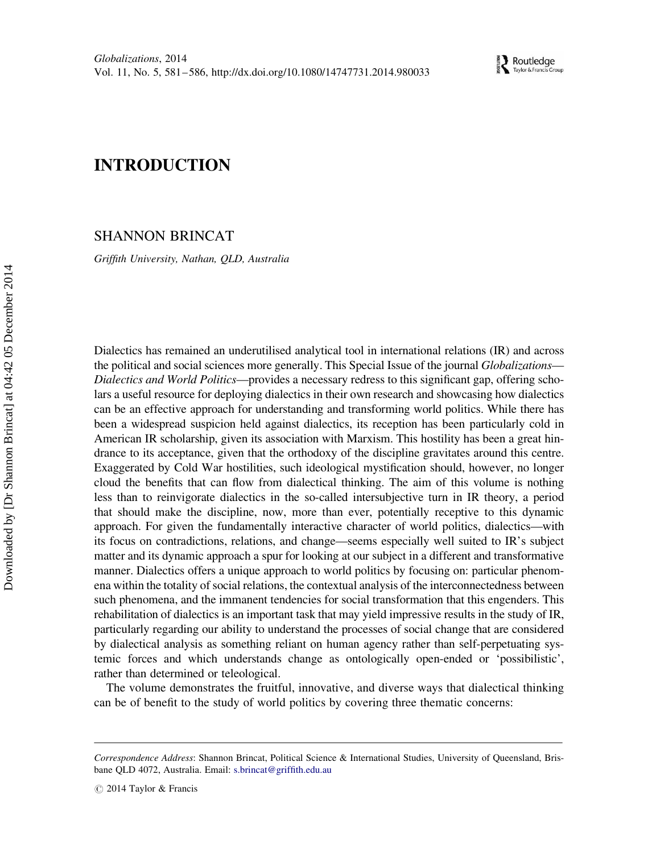### INTRODUCTION

SHANNON BRINCAT

Griffith University, Nathan, QLD, Australia

Dialectics has remained an underutilised analytical tool in international relations (IR) and across the political and social sciences more generally. This Special Issue of the journal *Globalizations*— Dialectics and World Politics—provides a necessary redress to this significant gap, offering scholars a useful resource for deploying dialectics in their own research and showcasing how dialectics can be an effective approach for understanding and transforming world politics. While there has been a widespread suspicion held against dialectics, its reception has been particularly cold in American IR scholarship, given its association with Marxism. This hostility has been a great hindrance to its acceptance, given that the orthodoxy of the discipline gravitates around this centre. Exaggerated by Cold War hostilities, such ideological mystification should, however, no longer cloud the benefits that can flow from dialectical thinking. The aim of this volume is nothing less than to reinvigorate dialectics in the so-called intersubjective turn in IR theory, a period that should make the discipline, now, more than ever, potentially receptive to this dynamic approach. For given the fundamentally interactive character of world politics, dialectics—with its focus on contradictions, relations, and change—seems especially well suited to IR's subject matter and its dynamic approach a spur for looking at our subject in a different and transformative manner. Dialectics offers a unique approach to world politics by focusing on: particular phenomena within the totality of social relations, the contextual analysis of the interconnectedness between such phenomena, and the immanent tendencies for social transformation that this engenders. This rehabilitation of dialectics is an important task that may yield impressive results in the study of IR, particularly regarding our ability to understand the processes of social change that are considered by dialectical analysis as something reliant on human agency rather than self-perpetuating systemic forces and which understands change as ontologically open-ended or 'possibilistic', rather than determined or teleological.

The volume demonstrates the fruitful, innovative, and diverse ways that dialectical thinking can be of benefit to the study of world politics by covering three thematic concerns:

Correspondence Address: Shannon Brincat, Political Science & International Studies, University of Queensland, Brisbane QLD 4072, Australia. Email: [s.brincat@griffith.edu.au](mailto:s.brincat@griffith.edu.au)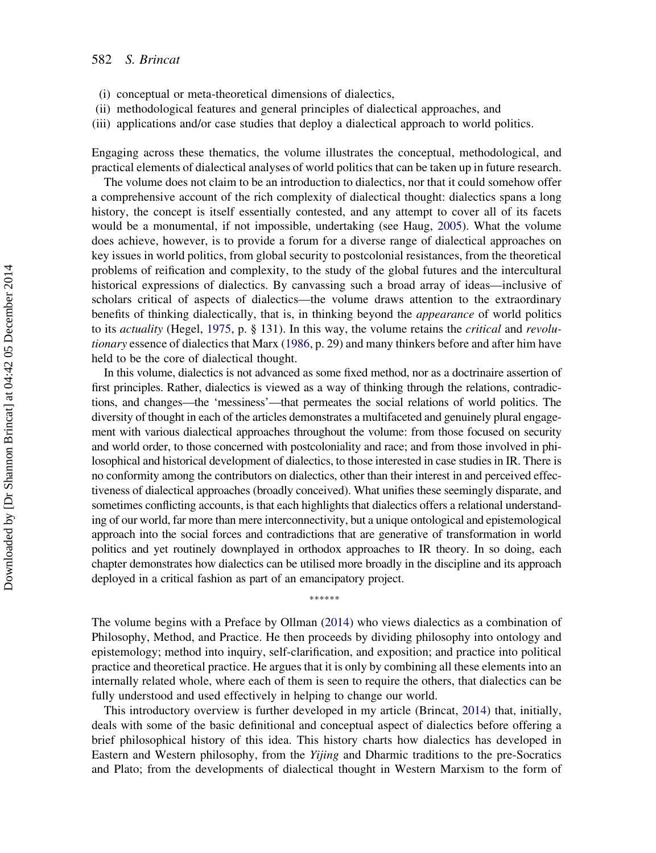- (i) conceptual or meta-theoretical dimensions of dialectics,
- (ii) methodological features and general principles of dialectical approaches, and
- (iii) applications and/or case studies that deploy a dialectical approach to world politics.

Engaging across these thematics, the volume illustrates the conceptual, methodological, and practical elements of dialectical analyses of world politics that can be taken up in future research.

The volume does not claim to be an introduction to dialectics, nor that it could somehow offer a comprehensive account of the rich complexity of dialectical thought: dialectics spans a long history, the concept is itself essentially contested, and any attempt to cover all of its facets would be a monumental, if not impossible, undertaking (see Haug, [2005\)](#page-6-0). What the volume does achieve, however, is to provide a forum for a diverse range of dialectical approaches on key issues in world politics, from global security to postcolonial resistances, from the theoretical problems of reification and complexity, to the study of the global futures and the intercultural historical expressions of dialectics. By canvassing such a broad array of ideas—inclusive of scholars critical of aspects of dialectics—the volume draws attention to the extraordinary benefits of thinking dialectically, that is, in thinking beyond the appearance of world politics to its *actuality* (Hegel, [1975,](#page-6-0) p. § 131). In this way, the volume retains the *critical* and *revolu*tionary essence of dialectics that Marx [\(1986](#page-6-0), p. 29) and many thinkers before and after him have held to be the core of dialectical thought.

In this volume, dialectics is not advanced as some fixed method, nor as a doctrinaire assertion of first principles. Rather, dialectics is viewed as a way of thinking through the relations, contradictions, and changes—the 'messiness'—that permeates the social relations of world politics. The diversity of thought in each of the articles demonstrates a multifaceted and genuinely plural engagement with various dialectical approaches throughout the volume: from those focused on security and world order, to those concerned with postcoloniality and race; and from those involved in philosophical and historical development of dialectics, to those interested in case studies in IR. There is no conformity among the contributors on dialectics, other than their interest in and perceived effectiveness of dialectical approaches (broadly conceived). What unifies these seemingly disparate, and sometimes conflicting accounts, is that each highlights that dialectics offers a relational understanding of our world, far more than mere interconnectivity, but a unique ontological and epistemological approach into the social forces and contradictions that are generative of transformation in world politics and yet routinely downplayed in orthodox approaches to IR theory. In so doing, each chapter demonstrates how dialectics can be utilised more broadly in the discipline and its approach deployed in a critical fashion as part of an emancipatory project.

The volume begins with a Preface by Ollman ([2014\)](#page-6-0) who views dialectics as a combination of Philosophy, Method, and Practice. He then proceeds by dividing philosophy into ontology and epistemology; method into inquiry, self-clarification, and exposition; and practice into political practice and theoretical practice. He argues that it is only by combining all these elements into an internally related whole, where each of them is seen to require the others, that dialectics can be fully understood and used effectively in helping to change our world.

∗∗∗∗∗∗

This introductory overview is further developed in my article (Brincat, [2014\)](#page-6-0) that, initially, deals with some of the basic definitional and conceptual aspect of dialectics before offering a brief philosophical history of this idea. This history charts how dialectics has developed in Eastern and Western philosophy, from the Yijing and Dharmic traditions to the pre-Socratics and Plato; from the developments of dialectical thought in Western Marxism to the form of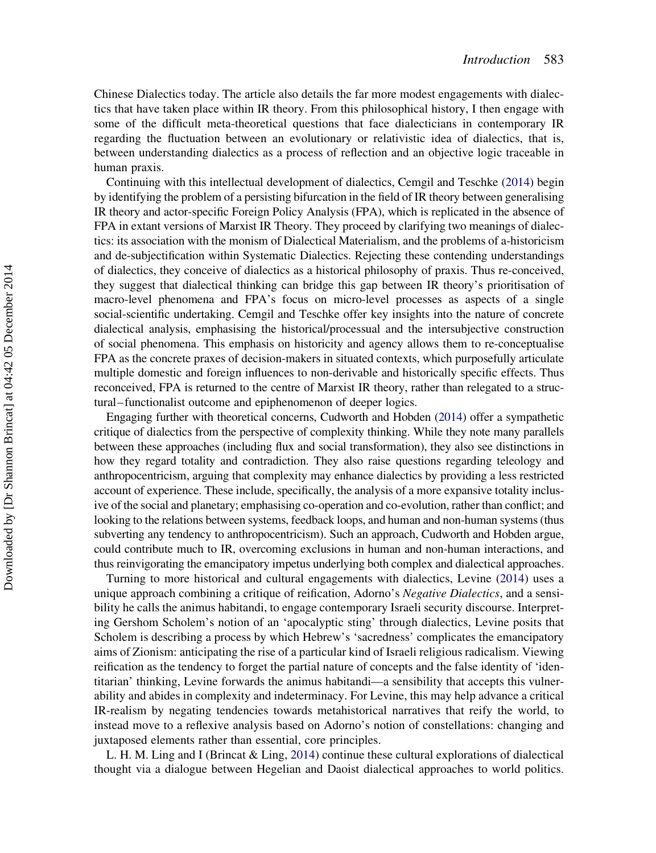Chinese Dialectics today. The article also details the far more modest engagements with dialectics that have taken place within IR theory. From this philosophical history, I then engage with some of the difficult meta-theoretical questions that face dialecticians in contemporary IR regarding the fluctuation between an evolutionary or relativistic idea of dialectics, that is, between understanding dialectics as a process of reflection and an objective logic traceable in human praxis.

Continuing with this intellectual development of dialectics, Cemgil and Teschke [\(2014\)](#page-6-0) begin by identifying the problem of a persisting bifurcation in the field of IR theory between generalising IR theory and actor-specific Foreign Policy Analysis (FPA), which is replicated in the absence of FPA in extant versions of Marxist IR Theory. They proceed by clarifying two meanings of dialectics: its association with the monism of Dialectical Materialism, and the problems of a-historicism and de-subjectification within Systematic Dialectics. Rejecting these contending understandings of dialectics, they conceive of dialectics as a historical philosophy of praxis. Thus re-conceived, they suggest that dialectical thinking can bridge this gap between IR theory's prioritisation of macro-level phenomena and FPA's focus on micro-level processes as aspects of a single social-scientific undertaking. Cemgil and Teschke offer key insights into the nature of concrete dialectical analysis, emphasising the historical/processual and the intersubjective construction of social phenomena. This emphasis on historicity and agency allows them to re-conceptualise FPA as the concrete praxes of decision-makers in situated contexts, which purposefully articulate multiple domestic and foreign influences to non-derivable and historically specific effects. Thus reconceived, FPA is returned to the centre of Marxist IR theory, rather than relegated to a structural–functionalist outcome and epiphenomenon of deeper logics.

Engaging further with theoretical concerns, Cudworth and Hobden [\(2014\)](#page-6-0) offer a sympathetic critique of dialectics from the perspective of complexity thinking. While they note many parallels between these approaches (including flux and social transformation), they also see distinctions in how they regard totality and contradiction. They also raise questions regarding teleology and anthropocentricism, arguing that complexity may enhance dialectics by providing a less restricted account of experience. These include, specifically, the analysis of a more expansive totality inclusive of the social and planetary; emphasising co-operation and co-evolution, rather than conflict; and looking to the relations between systems, feedback loops, and human and non-human systems (thus subverting any tendency to anthropocentricism). Such an approach, Cudworth and Hobden argue, could contribute much to IR, overcoming exclusions in human and non-human interactions, and thus reinvigorating the emancipatory impetus underlying both complex and dialectical approaches.

Turning to more historical and cultural engagements with dialectics, Levine ([2014\)](#page-6-0) uses a unique approach combining a critique of reification, Adorno's Negative Dialectics, and a sensibility he calls the animus habitandi, to engage contemporary Israeli security discourse. Interpreting Gershom Scholem's notion of an 'apocalyptic sting' through dialectics, Levine posits that Scholem is describing a process by which Hebrew's 'sacredness' complicates the emancipatory aims of Zionism: anticipating the rise of a particular kind of Israeli religious radicalism. Viewing reification as the tendency to forget the partial nature of concepts and the false identity of 'identitarian' thinking, Levine forwards the animus habitandi—a sensibility that accepts this vulnerability and abides in complexity and indeterminacy. For Levine, this may help advance a critical IR-realism by negating tendencies towards metahistorical narratives that reify the world, to instead move to a reflexive analysis based on Adorno's notion of constellations: changing and juxtaposed elements rather than essential, core principles.

L. H. M. Ling and I (Brincat & Ling, [2014](#page-6-0)) continue these cultural explorations of dialectical thought via a dialogue between Hegelian and Daoist dialectical approaches to world politics.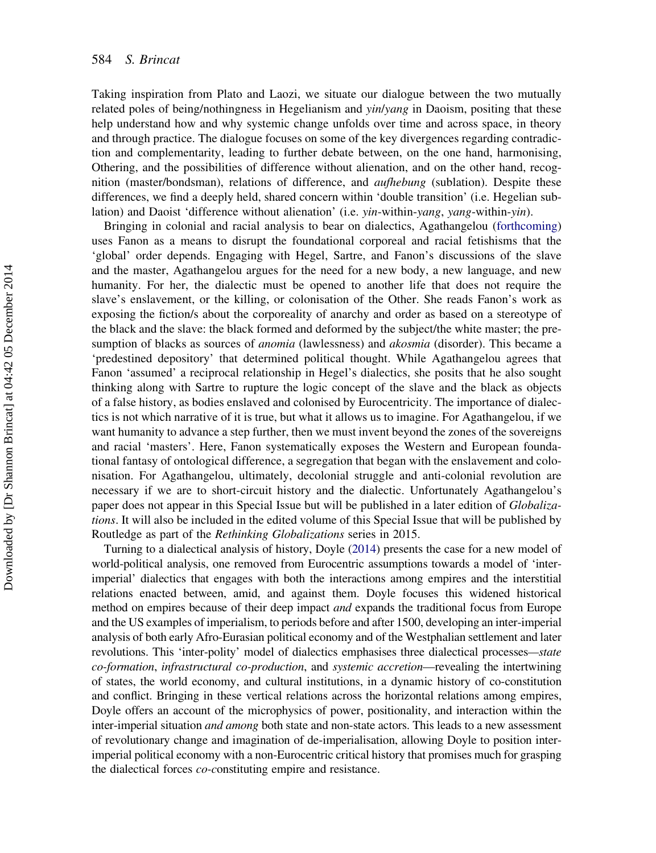Taking inspiration from Plato and Laozi, we situate our dialogue between the two mutually related poles of being/nothingness in Hegelianism and *yin/yang* in Daoism, positing that these help understand how and why systemic change unfolds over time and across space, in theory and through practice. The dialogue focuses on some of the key divergences regarding contradiction and complementarity, leading to further debate between, on the one hand, harmonising, Othering, and the possibilities of difference without alienation, and on the other hand, recognition (master/bondsman), relations of difference, and aufhebung (sublation). Despite these differences, we find a deeply held, shared concern within 'double transition' (i.e. Hegelian sublation) and Daoist 'difference without alienation' (i.e. yin-within-yang, yang-within-yin).

Bringing in colonial and racial analysis to bear on dialectics, Agathangelou ([forthcoming\)](#page-6-0) uses Fanon as a means to disrupt the foundational corporeal and racial fetishisms that the 'global' order depends. Engaging with Hegel, Sartre, and Fanon's discussions of the slave and the master, Agathangelou argues for the need for a new body, a new language, and new humanity. For her, the dialectic must be opened to another life that does not require the slave's enslavement, or the killing, or colonisation of the Other. She reads Fanon's work as exposing the fiction/s about the corporeality of anarchy and order as based on a stereotype of the black and the slave: the black formed and deformed by the subject/the white master; the presumption of blacks as sources of *anomia* (lawlessness) and *akosmia* (disorder). This became a 'predestined depository' that determined political thought. While Agathangelou agrees that Fanon 'assumed' a reciprocal relationship in Hegel's dialectics, she posits that he also sought thinking along with Sartre to rupture the logic concept of the slave and the black as objects of a false history, as bodies enslaved and colonised by Eurocentricity. The importance of dialectics is not which narrative of it is true, but what it allows us to imagine. For Agathangelou, if we want humanity to advance a step further, then we must invent beyond the zones of the sovereigns and racial 'masters'. Here, Fanon systematically exposes the Western and European foundational fantasy of ontological difference, a segregation that began with the enslavement and colonisation. For Agathangelou, ultimately, decolonial struggle and anti-colonial revolution are necessary if we are to short-circuit history and the dialectic. Unfortunately Agathangelou's paper does not appear in this Special Issue but will be published in a later edition of Globalizations. It will also be included in the edited volume of this Special Issue that will be published by Routledge as part of the Rethinking Globalizations series in 2015.

Turning to a dialectical analysis of history, Doyle ([2014](#page-6-0)) presents the case for a new model of world-political analysis, one removed from Eurocentric assumptions towards a model of 'interimperial' dialectics that engages with both the interactions among empires and the interstitial relations enacted between, amid, and against them. Doyle focuses this widened historical method on empires because of their deep impact *and* expands the traditional focus from Europe and the US examples of imperialism, to periods before and after 1500, developing an inter-imperial analysis of both early Afro-Eurasian political economy and of the Westphalian settlement and later revolutions. This 'inter-polity' model of dialectics emphasises three dialectical processes—state co-formation, infrastructural co-production, and systemic accretion—revealing the intertwining of states, the world economy, and cultural institutions, in a dynamic history of co-constitution and conflict. Bringing in these vertical relations across the horizontal relations among empires, Doyle offers an account of the microphysics of power, positionality, and interaction within the inter-imperial situation *and among* both state and non-state actors. This leads to a new assessment of revolutionary change and imagination of de-imperialisation, allowing Doyle to position interimperial political economy with a non-Eurocentric critical history that promises much for grasping the dialectical forces co-constituting empire and resistance.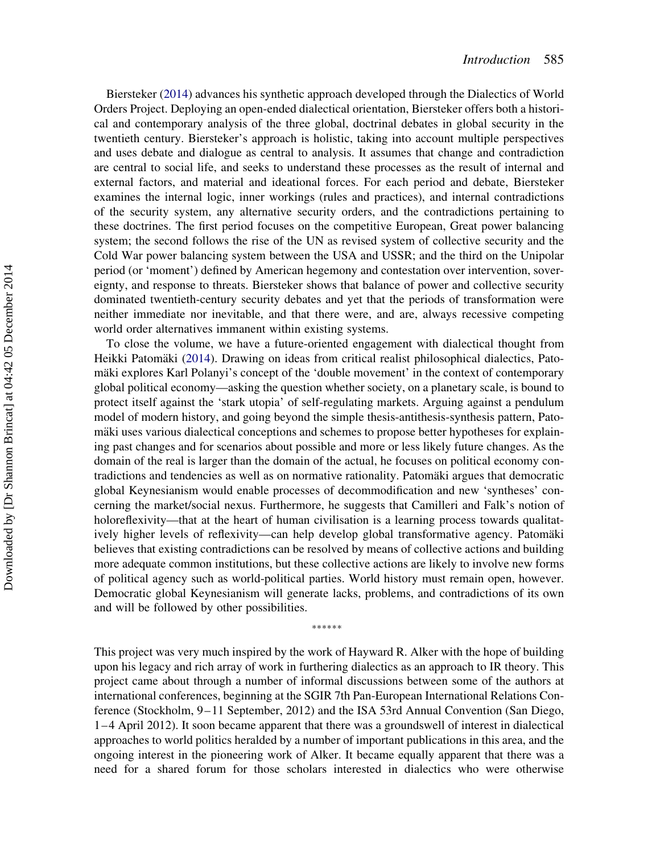Biersteker ([2014\)](#page-6-0) advances his synthetic approach developed through the Dialectics of World Orders Project. Deploying an open-ended dialectical orientation, Biersteker offers both a historical and contemporary analysis of the three global, doctrinal debates in global security in the twentieth century. Biersteker's approach is holistic, taking into account multiple perspectives and uses debate and dialogue as central to analysis. It assumes that change and contradiction are central to social life, and seeks to understand these processes as the result of internal and external factors, and material and ideational forces. For each period and debate, Biersteker examines the internal logic, inner workings (rules and practices), and internal contradictions of the security system, any alternative security orders, and the contradictions pertaining to these doctrines. The first period focuses on the competitive European, Great power balancing system; the second follows the rise of the UN as revised system of collective security and the Cold War power balancing system between the USA and USSR; and the third on the Unipolar period (or 'moment') defined by American hegemony and contestation over intervention, sovereignty, and response to threats. Biersteker shows that balance of power and collective security dominated twentieth-century security debates and yet that the periods of transformation were neither immediate nor inevitable, and that there were, and are, always recessive competing world order alternatives immanent within existing systems.

To close the volume, we have a future-oriented engagement with dialectical thought from Heikki Patomäki ([2014](#page-6-0)). Drawing on ideas from critical realist philosophical dialectics, Patomäki explores Karl Polanyi's concept of the 'double movement' in the context of contemporary global political economy—asking the question whether society, on a planetary scale, is bound to protect itself against the 'stark utopia' of self-regulating markets. Arguing against a pendulum model of modern history, and going beyond the simple thesis-antithesis-synthesis pattern, Patomäki uses various dialectical conceptions and schemes to propose better hypotheses for explaining past changes and for scenarios about possible and more or less likely future changes. As the domain of the real is larger than the domain of the actual, he focuses on political economy contradictions and tendencies as well as on normative rationality. Patomäki argues that democratic global Keynesianism would enable processes of decommodification and new 'syntheses' concerning the market/social nexus. Furthermore, he suggests that Camilleri and Falk's notion of holoreflexivity—that at the heart of human civilisation is a learning process towards qualitatively higher levels of reflexivity—can help develop global transformative agency. Patomäki believes that existing contradictions can be resolved by means of collective actions and building more adequate common institutions, but these collective actions are likely to involve new forms of political agency such as world-political parties. World history must remain open, however. Democratic global Keynesianism will generate lacks, problems, and contradictions of its own and will be followed by other possibilities.

This project was very much inspired by the work of Hayward R. Alker with the hope of building upon his legacy and rich array of work in furthering dialectics as an approach to IR theory. This project came about through a number of informal discussions between some of the authors at international conferences, beginning at the SGIR 7th Pan-European International Relations Conference (Stockholm, 9–11 September, 2012) and the ISA 53rd Annual Convention (San Diego, 1–4 April 2012). It soon became apparent that there was a groundswell of interest in dialectical approaches to world politics heralded by a number of important publications in this area, and the ongoing interest in the pioneering work of Alker. It became equally apparent that there was a need for a shared forum for those scholars interested in dialectics who were otherwise

∗∗∗∗∗∗